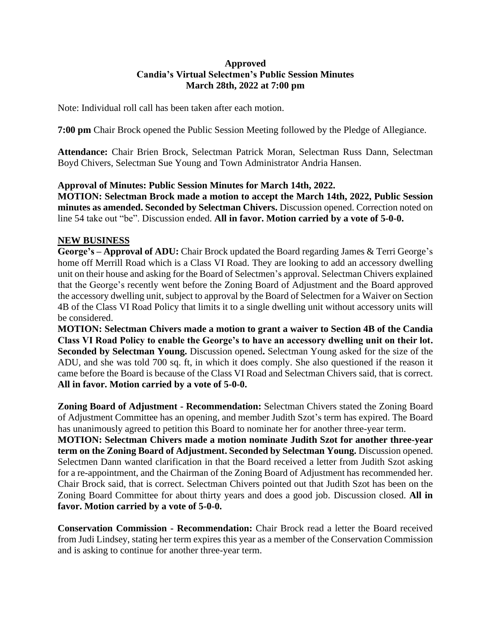## **Approved Candia's Virtual Selectmen's Public Session Minutes March 28th, 2022 at 7:00 pm**

Note: Individual roll call has been taken after each motion.

**7:00 pm** Chair Brock opened the Public Session Meeting followed by the Pledge of Allegiance.

**Attendance:** Chair Brien Brock, Selectman Patrick Moran, Selectman Russ Dann, Selectman Boyd Chivers, Selectman Sue Young and Town Administrator Andria Hansen.

## **Approval of Minutes: Public Session Minutes for March 14th, 2022.**

**MOTION: Selectman Brock made a motion to accept the March 14th, 2022, Public Session minutes as amended. Seconded by Selectman Chivers.** Discussion opened. Correction noted on line 54 take out "be". Discussion ended. **All in favor. Motion carried by a vote of 5-0-0.**

## **NEW BUSINESS**

**George's – Approval of ADU:** Chair Brock updated the Board regarding James & Terri George's home off Merrill Road which is a Class VI Road. They are looking to add an accessory dwelling unit on their house and asking for the Board of Selectmen's approval. Selectman Chivers explained that the George's recently went before the Zoning Board of Adjustment and the Board approved the accessory dwelling unit, subject to approval by the Board of Selectmen for a Waiver on Section 4B of the Class VI Road Policy that limits it to a single dwelling unit without accessory units will be considered.

**MOTION: Selectman Chivers made a motion to grant a waiver to Section 4B of the Candia Class VI Road Policy to enable the George's to have an accessory dwelling unit on their lot. Seconded by Selectman Young.** Discussion opened**.** Selectman Young asked for the size of the ADU, and she was told 700 sq. ft, in which it does comply. She also questioned if the reason it came before the Board is because of the Class VI Road and Selectman Chivers said, that is correct. **All in favor. Motion carried by a vote of 5-0-0.**

**Zoning Board of Adjustment - Recommendation:** Selectman Chivers stated the Zoning Board of Adjustment Committee has an opening, and member Judith Szot's term has expired. The Board has unanimously agreed to petition this Board to nominate her for another three-year term.

**MOTION: Selectman Chivers made a motion nominate Judith Szot for another three-year term on the Zoning Board of Adjustment. Seconded by Selectman Young.** Discussion opened. Selectmen Dann wanted clarification in that the Board received a letter from Judith Szot asking for a re-appointment, and the Chairman of the Zoning Board of Adjustment has recommended her. Chair Brock said, that is correct. Selectman Chivers pointed out that Judith Szot has been on the Zoning Board Committee for about thirty years and does a good job. Discussion closed. **All in favor. Motion carried by a vote of 5-0-0.**

**Conservation Commission - Recommendation:** Chair Brock read a letter the Board received from Judi Lindsey, stating her term expires this year as a member of the Conservation Commission and is asking to continue for another three-year term.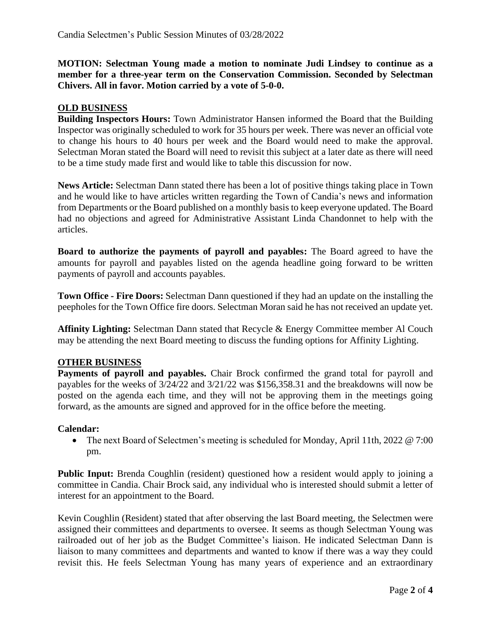**MOTION: Selectman Young made a motion to nominate Judi Lindsey to continue as a member for a three-year term on the Conservation Commission. Seconded by Selectman Chivers. All in favor. Motion carried by a vote of 5-0-0.**

## **OLD BUSINESS**

**Building Inspectors Hours:** Town Administrator Hansen informed the Board that the Building Inspector was originally scheduled to work for 35 hours per week. There was never an official vote to change his hours to 40 hours per week and the Board would need to make the approval. Selectman Moran stated the Board will need to revisit this subject at a later date as there will need to be a time study made first and would like to table this discussion for now.

**News Article:** Selectman Dann stated there has been a lot of positive things taking place in Town and he would like to have articles written regarding the Town of Candia's news and information from Departments or the Board published on a monthly basis to keep everyone updated. The Board had no objections and agreed for Administrative Assistant Linda Chandonnet to help with the articles.

**Board to authorize the payments of payroll and payables:** The Board agreed to have the amounts for payroll and payables listed on the agenda headline going forward to be written payments of payroll and accounts payables.

**Town Office - Fire Doors:** Selectman Dann questioned if they had an update on the installing the peepholes for the Town Office fire doors. Selectman Moran said he has not received an update yet.

**Affinity Lighting:** Selectman Dann stated that Recycle & Energy Committee member Al Couch may be attending the next Board meeting to discuss the funding options for Affinity Lighting.

### **OTHER BUSINESS**

**Payments of payroll and payables.** Chair Brock confirmed the grand total for payroll and payables for the weeks of 3/24/22 and 3/21/22 was \$156,358.31 and the breakdowns will now be posted on the agenda each time, and they will not be approving them in the meetings going forward, as the amounts are signed and approved for in the office before the meeting.

### **Calendar:**

• The next Board of Selectmen's meeting is scheduled for Monday, April 11th, 2022 @ 7:00 pm.

**Public Input:** Brenda Coughlin (resident) questioned how a resident would apply to joining a committee in Candia. Chair Brock said, any individual who is interested should submit a letter of interest for an appointment to the Board.

Kevin Coughlin (Resident) stated that after observing the last Board meeting, the Selectmen were assigned their committees and departments to oversee. It seems as though Selectman Young was railroaded out of her job as the Budget Committee's liaison. He indicated Selectman Dann is liaison to many committees and departments and wanted to know if there was a way they could revisit this. He feels Selectman Young has many years of experience and an extraordinary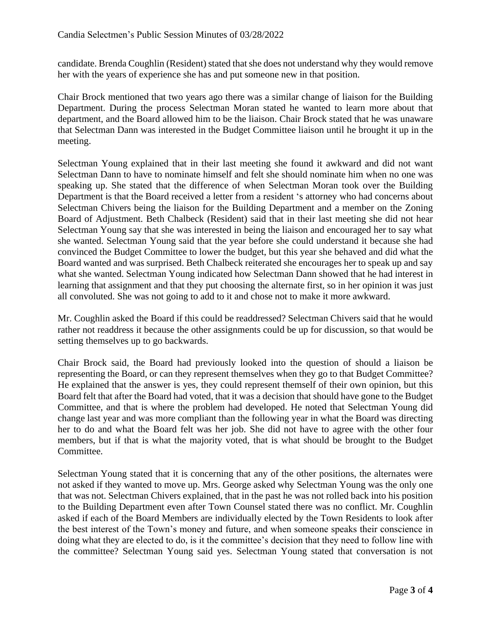candidate. Brenda Coughlin (Resident) stated that she does not understand why they would remove her with the years of experience she has and put someone new in that position.

Chair Brock mentioned that two years ago there was a similar change of liaison for the Building Department. During the process Selectman Moran stated he wanted to learn more about that department, and the Board allowed him to be the liaison. Chair Brock stated that he was unaware that Selectman Dann was interested in the Budget Committee liaison until he brought it up in the meeting.

Selectman Young explained that in their last meeting she found it awkward and did not want Selectman Dann to have to nominate himself and felt she should nominate him when no one was speaking up. She stated that the difference of when Selectman Moran took over the Building Department is that the Board received a letter from a resident 's attorney who had concerns about Selectman Chivers being the liaison for the Building Department and a member on the Zoning Board of Adjustment. Beth Chalbeck (Resident) said that in their last meeting she did not hear Selectman Young say that she was interested in being the liaison and encouraged her to say what she wanted. Selectman Young said that the year before she could understand it because she had convinced the Budget Committee to lower the budget, but this year she behaved and did what the Board wanted and was surprised. Beth Chalbeck reiterated she encourages her to speak up and say what she wanted. Selectman Young indicated how Selectman Dann showed that he had interest in learning that assignment and that they put choosing the alternate first, so in her opinion it was just all convoluted. She was not going to add to it and chose not to make it more awkward.

Mr. Coughlin asked the Board if this could be readdressed? Selectman Chivers said that he would rather not readdress it because the other assignments could be up for discussion, so that would be setting themselves up to go backwards.

Chair Brock said, the Board had previously looked into the question of should a liaison be representing the Board, or can they represent themselves when they go to that Budget Committee? He explained that the answer is yes, they could represent themself of their own opinion, but this Board felt that after the Board had voted, that it was a decision that should have gone to the Budget Committee, and that is where the problem had developed. He noted that Selectman Young did change last year and was more compliant than the following year in what the Board was directing her to do and what the Board felt was her job. She did not have to agree with the other four members, but if that is what the majority voted, that is what should be brought to the Budget Committee.

Selectman Young stated that it is concerning that any of the other positions, the alternates were not asked if they wanted to move up. Mrs. George asked why Selectman Young was the only one that was not. Selectman Chivers explained, that in the past he was not rolled back into his position to the Building Department even after Town Counsel stated there was no conflict. Mr. Coughlin asked if each of the Board Members are individually elected by the Town Residents to look after the best interest of the Town's money and future, and when someone speaks their conscience in doing what they are elected to do, is it the committee's decision that they need to follow line with the committee? Selectman Young said yes. Selectman Young stated that conversation is not